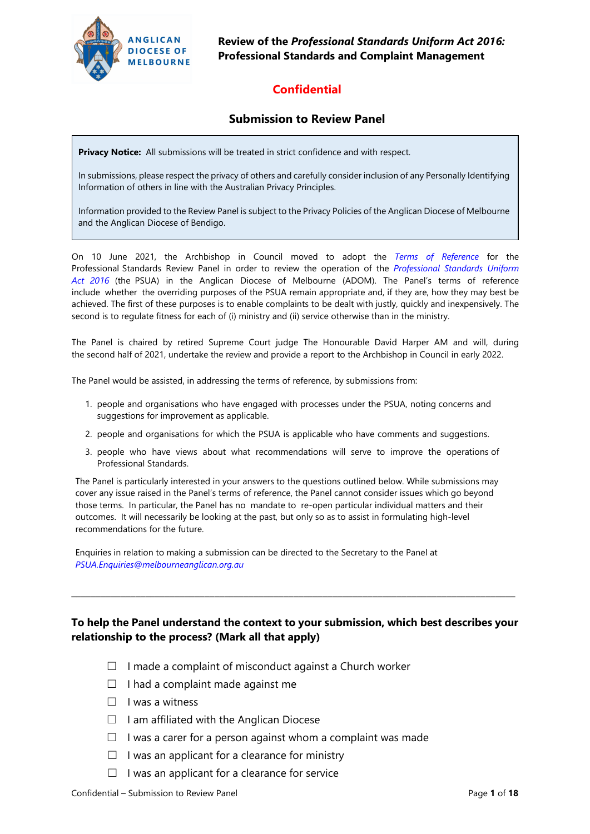

**Review of the** *Professional Standards Uniform Act 2016:* **Professional Standards and Complaint Management**

## **Confidential**

#### **Submission to Review Panel**

**Privacy Notice:** All submissions will be treated in strict confidence and with respect.

In submissions, please respect the privacy of others and carefully consider inclusion of any Personally Identifying Information of others in line with the Australian Privacy Principles.

Information provided to the Review Panel is subject to the Privacy Policies of the Anglican Diocese of Melbourne and the Anglican Diocese of Bendigo.

On 10 June 2021, the Archbishop in Council moved to [adopt the](https://www.melbourneanglican.org.au/wp-content/uploads/2021/08/2.3-Attachment-1-20210603-Terms-Of-Reference-Professional-Standards-Uniform-Act-2016-to-AiC-final.pdf) *Terms of Reference* for the Professional Standards Review Panel in order to review the operation of the *[Professional Standards Uni](https://www.melbourneanglican.org.au/wp-content/uploads/2019/12/Professional-Standards-Uniform-Act-Adoption-Act-2016.pdf)form Act 2016* (the PSUA) in the Anglican Diocese of Melbourne (ADOM). The Panel's terms of reference include whether the overriding purposes of the PSUA remain appropriate and, if they are, how they may best be achieved. The first of these purposes is to enable complaints to be dealt with justly, quickly and inexpensively. The second is to regulate fitness for each of (i) ministry and (ii) service otherwise than in the ministry.

The Panel is chaired by retired Supreme Court judge The Honourable David Harper AM and will, during the second half of 2021, undertake the review and provide a report to the Archbishop in Council in early 2022.

The Panel would be assisted, in addressing the terms of reference, by submissions from:

- 1. people and organisations who have engaged with processes under the PSUA, noting concerns and suggestions for improvement as applicable.
- 2. people and organisations for which the PSUA is applicable who have comments and suggestions.
- 3. people who have views about what recommendations will serve to improve the operations of Professional Standards.

The Panel is particularly interested in your answers to the questions outlined below. While submissions may cover any issue raised in the Panel's terms of reference, the Panel cannot consider issues which go beyond those terms. In particular, the Panel has no mandate to re-open particular individual matters and their outcomes. It will necessarily be looking at the past, but only so as to assist in formulating high-level recommendations for the future.

Enquiries in relation to making a submission can be directed to the Secretary to the Panel at *[PSUA.Enquiries@melbourneanglican.org.au](mailto:PSUA.Enquiries@melbourneanglican.org.au)*

#### **To help the Panel understand the context to your submission, which best describes your relationship to the process? (Mark all that apply)**

**\_\_\_\_\_\_\_\_\_\_\_\_\_\_\_\_\_\_\_\_\_\_\_\_\_\_\_\_\_\_\_\_\_\_\_\_\_\_\_\_\_\_\_\_\_\_\_\_\_\_\_\_\_\_\_\_\_\_\_\_\_\_\_\_\_\_\_\_\_\_\_\_\_\_\_\_\_\_\_\_\_\_\_\_\_\_\_\_\_\_** 

- $\Box$  I made a complaint of misconduct against a Church worker
- $\Box$  I had a complaint made against me
- $\Box$  I was a witness
- $\Box$  I am affiliated with the Anglican Diocese
- $\Box$  I was a carer for a person against whom a complaint was made
- $\Box$  I was an applicant for a clearance for ministry
- $\Box$  I was an applicant for a clearance for service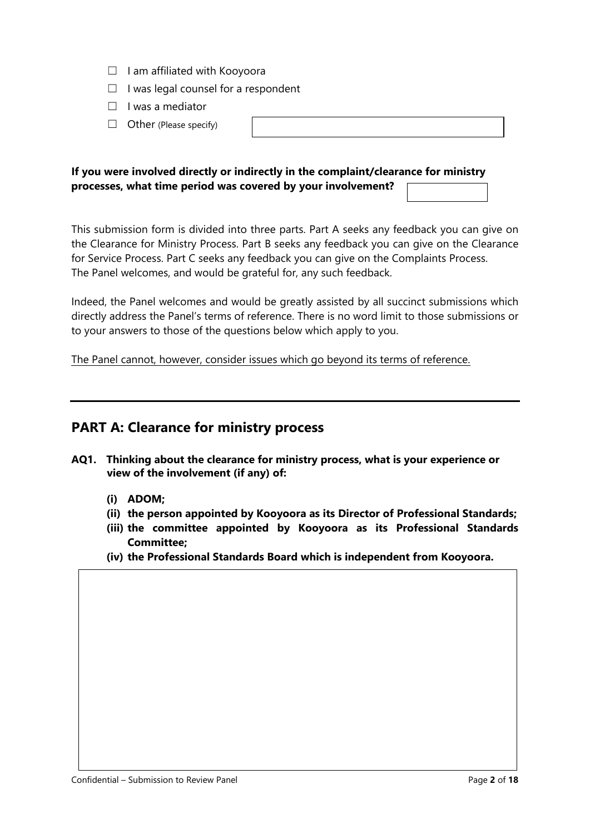- ☐ I am affiliated with Kooyoora
- $\Box$  I was legal counsel for a respondent
- ☐ I was a mediator
- $\Box$  Other (Please specify)

| ,我们也不会有一个人的事情。""我们的人,我们也不会有一个人的人,我们也不会有一个人的人,我们也不会有一个人的人,我们也不会有一个人的人,我们也不会有一个人的人,<br>第二百一十一章 第二百一十一章 第二百一十一章 第二百一十一章 第二百一章 第二百一章 第二百一章 第二百一章 第二百一章 第二百一章 第二百一章 第二百一章 第 |  |  |
|------------------------------------------------------------------------------------------------------------------------------------------------------------------------|--|--|

#### **If you were involved directly or indirectly in the complaint/clearance for ministry processes, what time period was covered by your involvement?**

This submission form is divided into three parts. Part A seeks any feedback you can give on the Clearance for Ministry Process. Part B seeks any feedback you can give on the Clearance for Service Process. Part C seeks any feedback you can give on the Complaints Process. The Panel welcomes, and would be grateful for, any such feedback.

Indeed, the Panel welcomes and would be greatly assisted by all succinct submissions which directly address the Panel's terms of reference. There is no word limit to those submissions or to your answers to those of the questions below which apply to you.

The Panel cannot, however, consider issues which go beyond its terms of reference.

#### **PART A: Clearance for ministry process**

- **AQ1. Thinking about the clearance for ministry process, what is your experience or view of the involvement (if any) of:**
	- **(i) ADOM;**
	- **(ii) the person appointed by Kooyoora as its Director of Professional Standards;**
	- **(iii) the committee appointed by Kooyoora as its Professional Standards Committee;**
	- **(iv) the Professional Standards Board which is independent from Kooyoora.**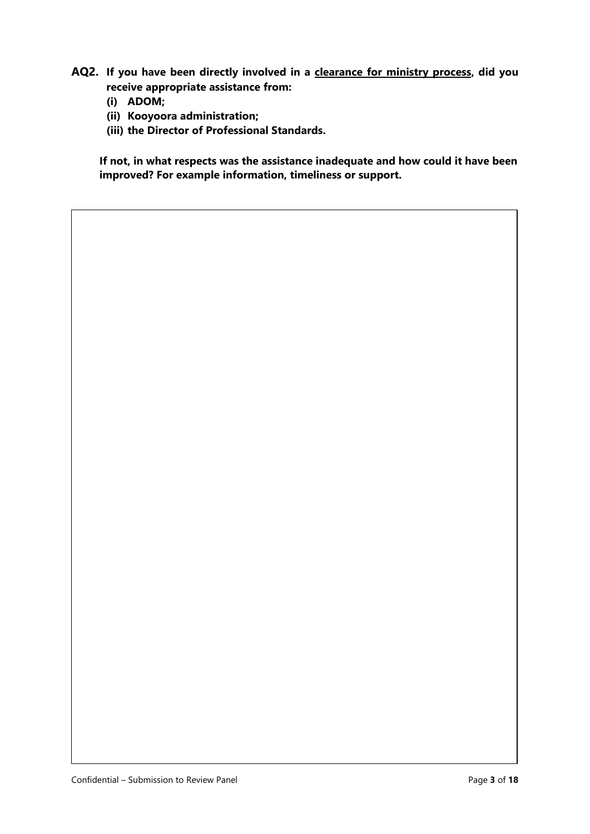- **AQ2. If you have been directly involved in a clearance for ministry process, did you receive appropriate assistance from:**
	- **(i) ADOM;**
	- **(ii) Kooyoora administration;**
	- **(iii) the Director of Professional Standards.**

**If not, in what respects was the assistance inadequate and how could it have been improved? For example information, timeliness or support.**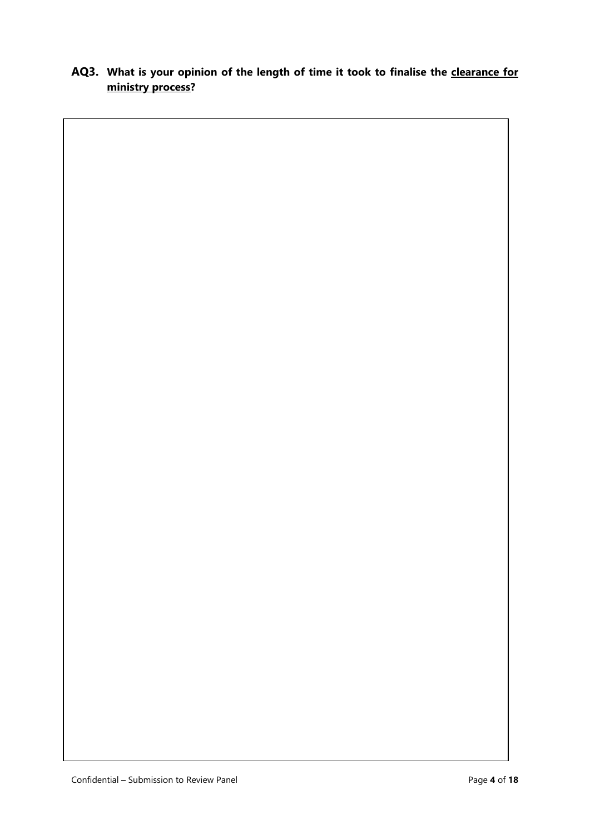## **AQ3. What is your opinion of the length of time it took to finalise the clearance for ministry process?**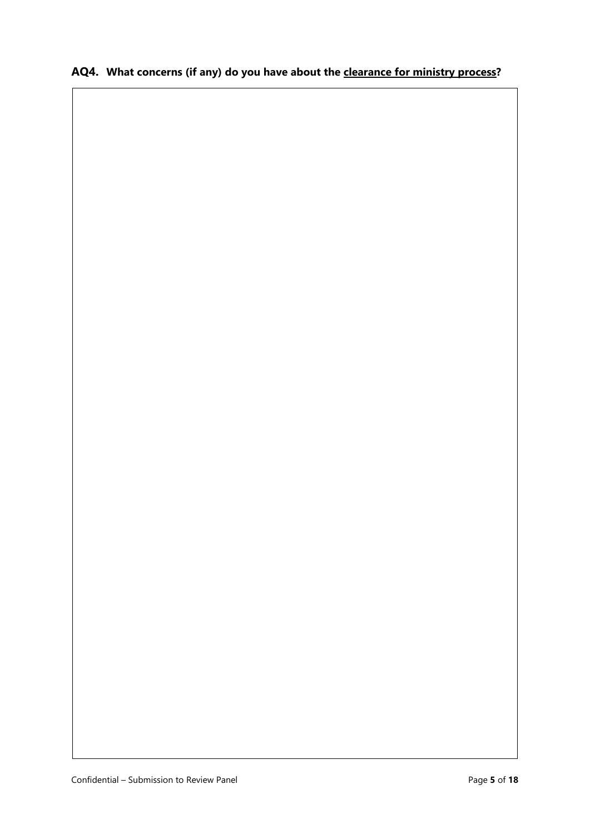### **AQ4. What concerns (if any) do you have about the clearance for ministry process?**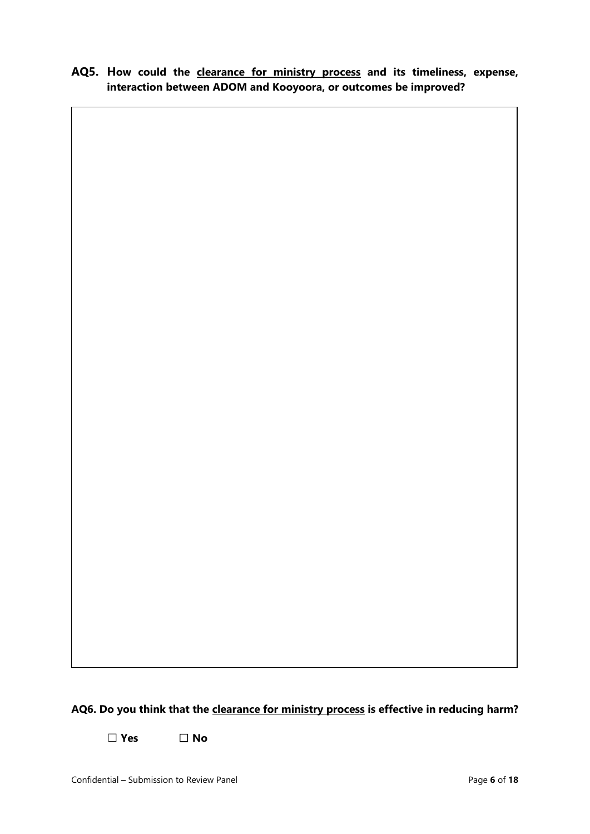**AQ5. How could the clearance for ministry process and its timeliness, expense, interaction between ADOM and Kooyoora, or outcomes be improved?**

# **AQ6. Do you think that the clearance for ministry process is effective in reducing harm?**

☐ **Yes** ☐ **No**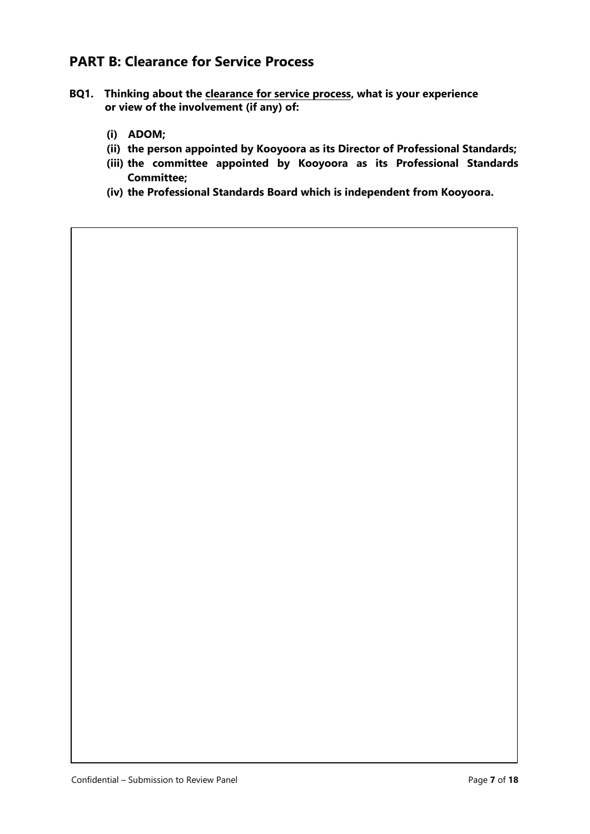# **PART B: Clearance for Service Process**

- **BQ1. Thinking about the clearance for service process, what is your experience or view of the involvement (if any) of:**
	- **(i) ADOM;**
	- **(ii) the person appointed by Kooyoora as its Director of Professional Standards;**
	- **(iii) the committee appointed by Kooyoora as its Professional Standards Committee;**
	- **(iv) the Professional Standards Board which is independent from Kooyoora.**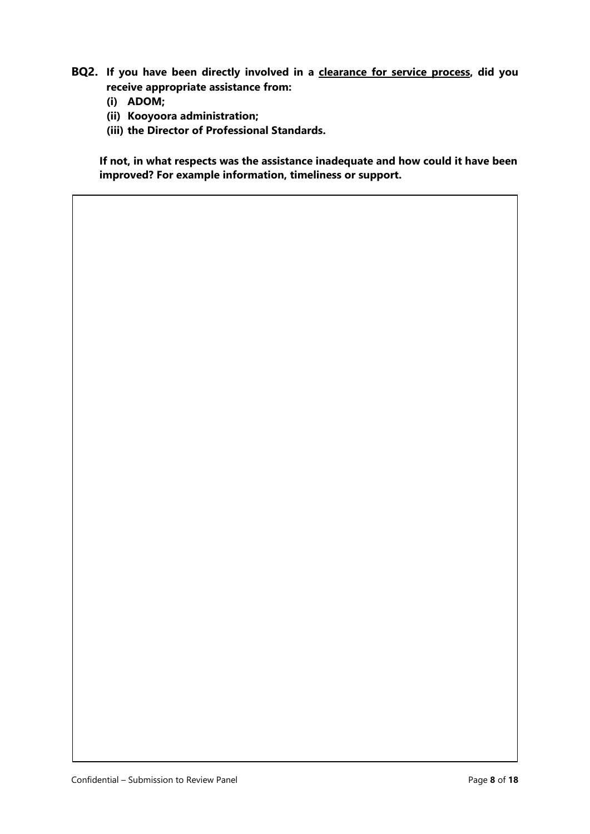- **BQ2. If you have been directly involved in a clearance for service process, did you receive appropriate assistance from:**
	- **(i) ADOM;**
	- **(ii) Kooyoora administration;**
	- **(iii) the Director of Professional Standards.**

**If not, in what respects was the assistance inadequate and how could it have been improved? For example information, timeliness or support.**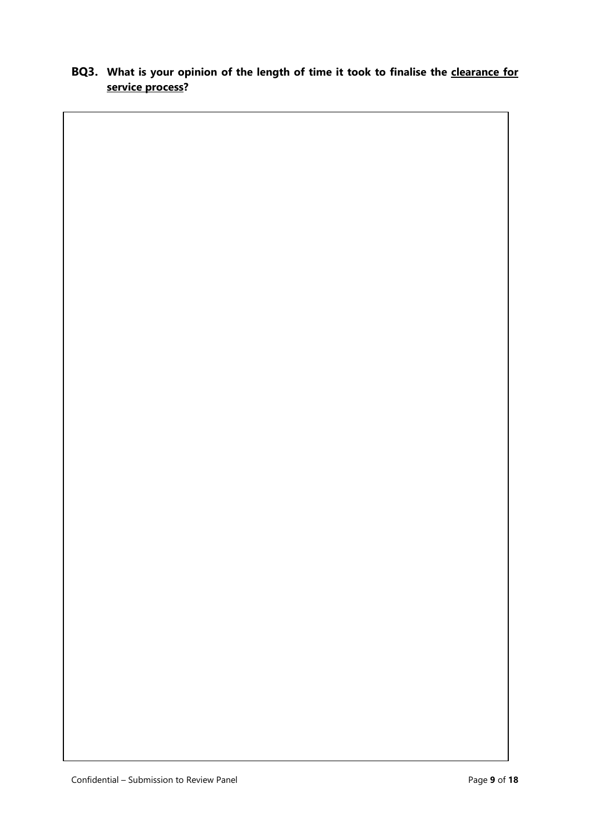#### **BQ3. What is your opinion of the length of time it took to finalise the clearance for service process?**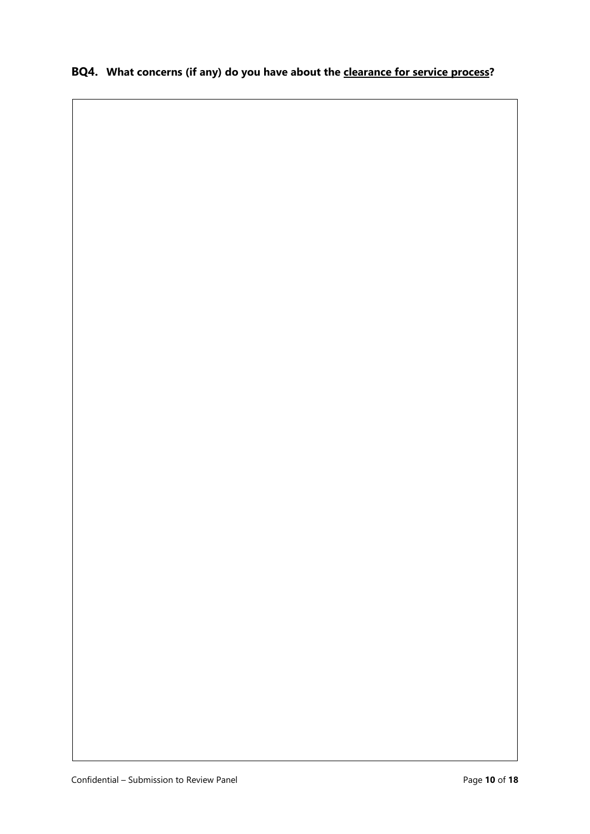### **BQ4. What concerns (if any) do you have about the clearance for service process?**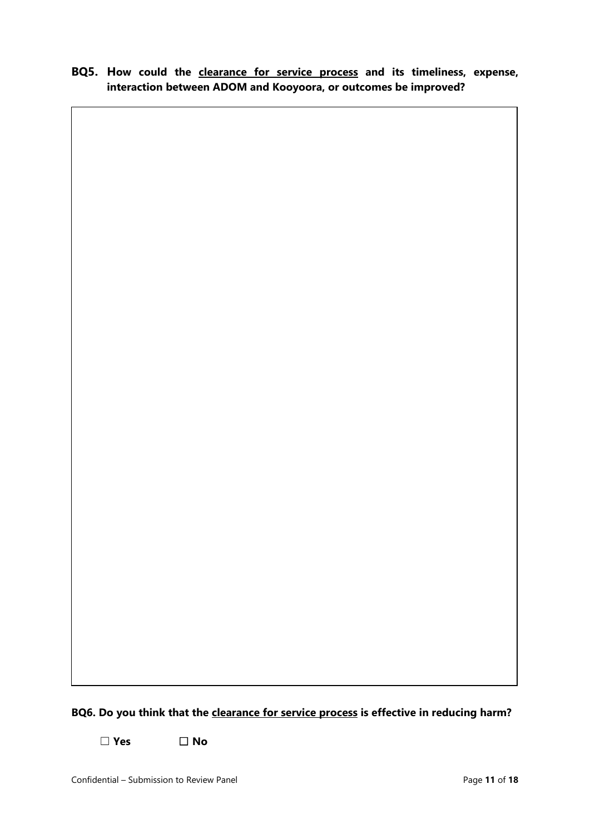**BQ5. How could the clearance for service process and its timeliness, expense, interaction between ADOM and Kooyoora, or outcomes be improved?**

#### **BQ6. Do you think that the clearance for service process is effective in reducing harm?**

☐ **Yes** ☐ **No**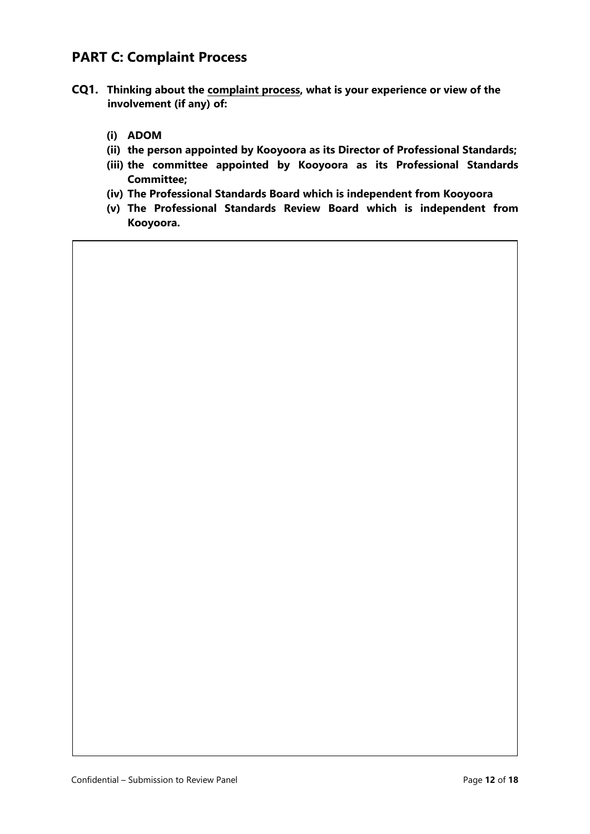# **PART C: Complaint Process**

- **CQ1. Thinking about the complaint process, what is your experience or view of the involvement (if any) of:**
	- **(i) ADOM**
	- **(ii) the person appointed by Kooyoora as its Director of Professional Standards;**
	- **(iii) the committee appointed by Kooyoora as its Professional Standards Committee;**
	- **(iv) The Professional Standards Board which is independent from Kooyoora**
	- **(v) The Professional Standards Review Board which is independent from Kooyoora.**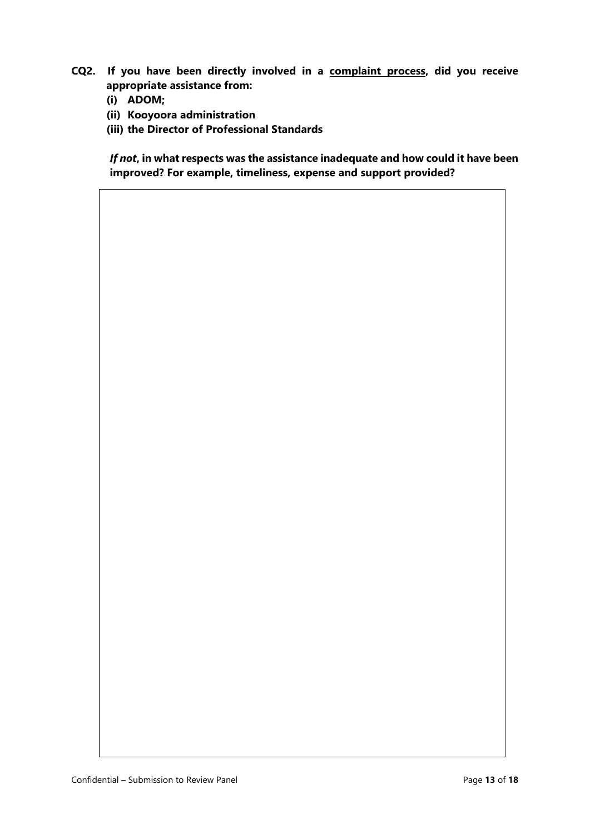- **CQ2. If you have been directly involved in a complaint process, did you receive appropriate assistance from:** 
	- **(i) ADOM;**
	- **(ii) Kooyoora administration**
	- **(iii) the Director of Professional Standards**

*If not***, in what respects was the assistance inadequate and how could it have been improved? For example, timeliness, expense and support provided?**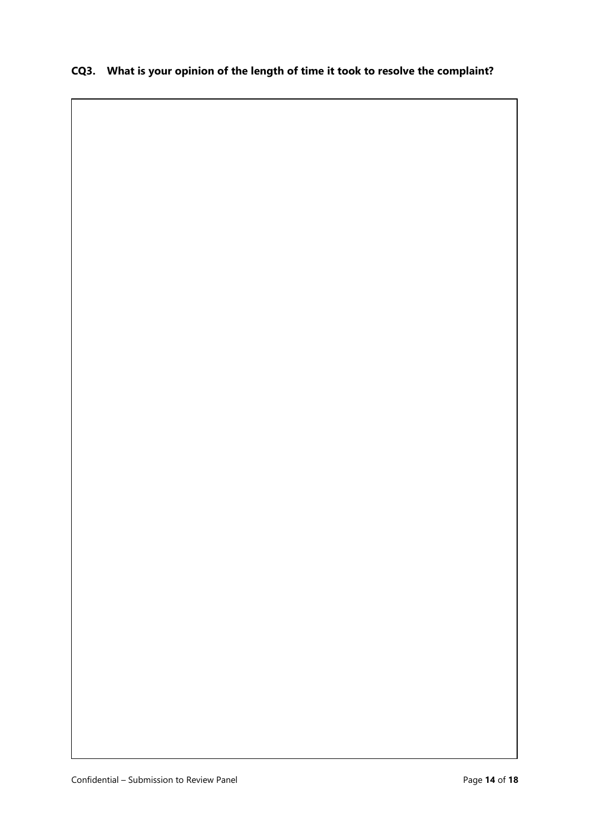#### **CQ3. What is your opinion of the length of time it took to resolve the complaint?**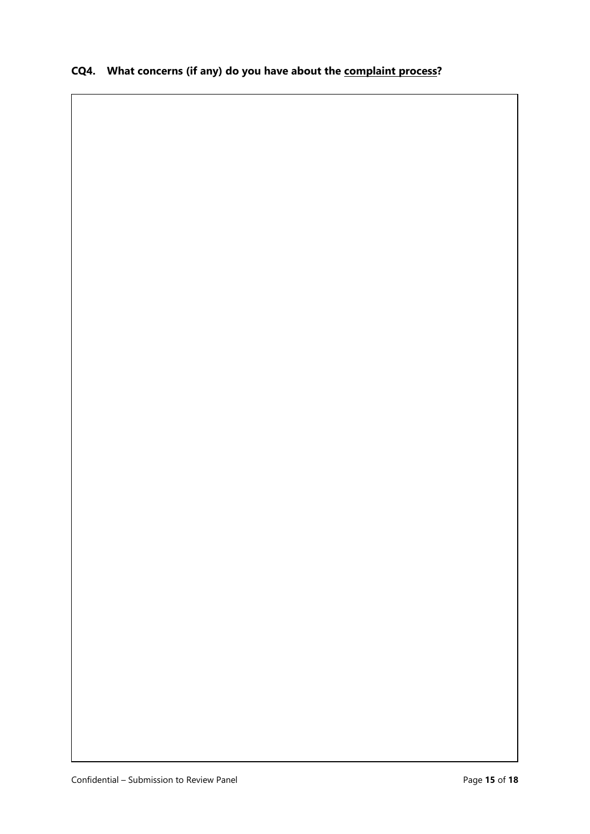# **CQ4. What concerns (if any) do you have about the complaint process?**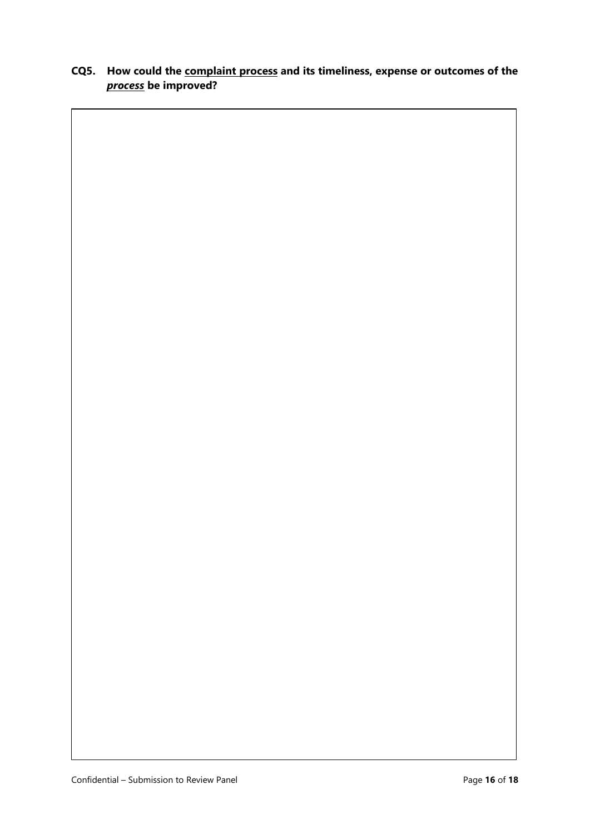#### **CQ5. How could the complaint process and its timeliness, expense or outcomes of the**  *process* **be improved?**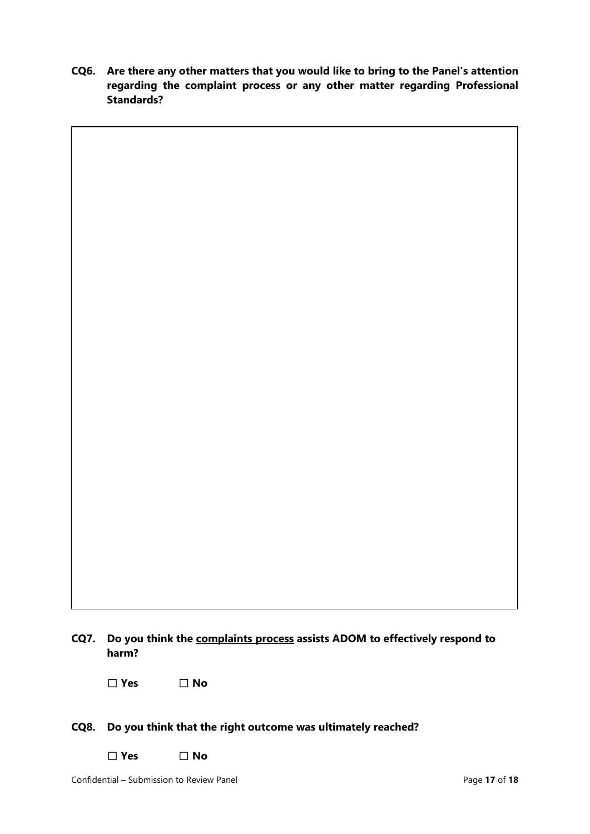**CQ6. Are there any other matters that you would like to bring to the Panel's attention regarding the complaint process or any other matter regarding Professional Standards?** 

| CQ7. | Do you think the complaints process assists ADOM to effectively respond to<br>harm? |
|------|-------------------------------------------------------------------------------------|

☐ **Yes** ☐ **No**

#### **CQ8. Do you think that the right outcome was ultimately reached?**

☐ **Yes** ☐ **No**